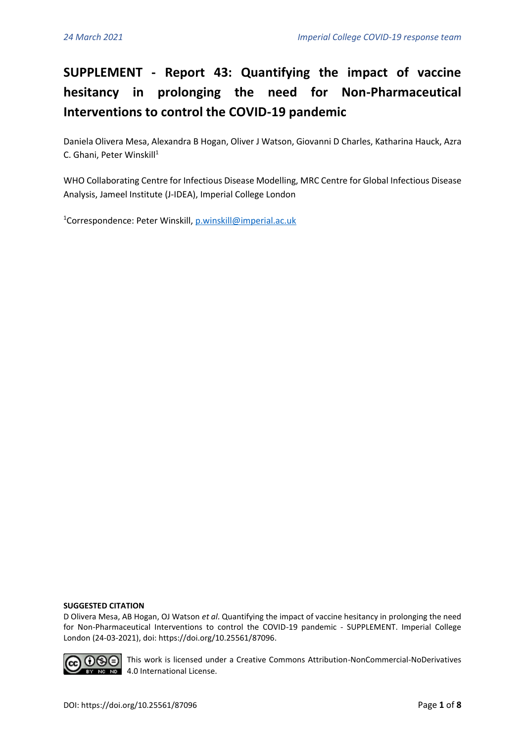## **SUPPLEMENT - Report 43: Quantifying the impact of vaccine hesitancy in prolonging the need for Non-Pharmaceutical Interventions to control the COVID-19 pandemic**

Daniela Olivera Mesa, Alexandra B Hogan, Oliver J Watson, Giovanni D Charles, Katharina Hauck, Azra C. Ghani, Peter Winskill<sup>1</sup>

WHO Collaborating Centre for Infectious Disease Modelling, MRC Centre for Global Infectious Disease Analysis, Jameel Institute (J-IDEA), Imperial College London

<sup>1</sup>Correspondence: Peter Winskill[, p.winskill@imperial.ac.uk](mailto:p.winskill@imperial.ac.uk)

## **SUGGESTED CITATION**

D Olivera Mesa, AB Hogan, OJ Watson *et al*. Quantifying the impact of vaccine hesitancy in prolonging the need for Non-Pharmaceutical Interventions to control the COVID-19 pandemic - SUPPLEMENT. Imperial College London (24-03-2021), doi: https://doi.org/10.25561/87096.



**∩⊝** This work is licensed under a Creative Commons Attribution-NonCommercial-NoDerivatives NO NO 4.0 International License.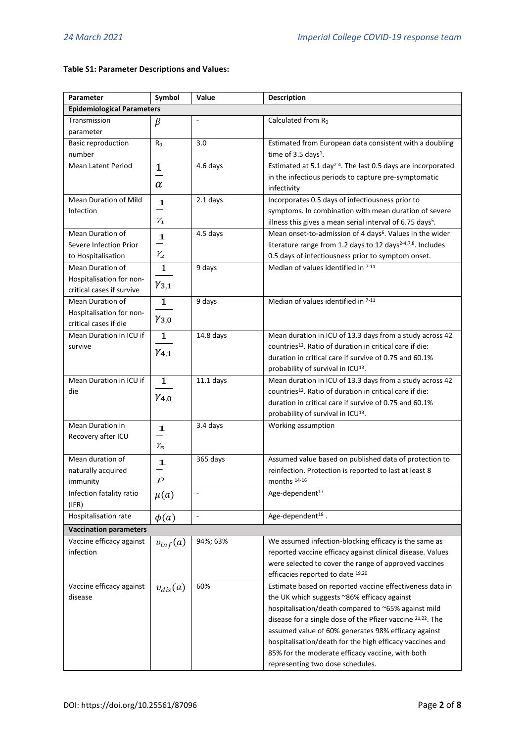## **Table S1: Parameter Descriptions and Values:**

| Parameter                                        | Symbol              | Value          | <b>Description</b>                                                                         |  |
|--------------------------------------------------|---------------------|----------------|--------------------------------------------------------------------------------------------|--|
| <b>Epidemiological Parameters</b>                |                     |                |                                                                                            |  |
| Transmission<br>parameter                        | β                   |                | Calculated from R <sub>0</sub>                                                             |  |
| <b>Basic reproduction</b><br>number              | R <sub>0</sub>      | 3.0            | Estimated from European data consistent with a doubling<br>time of 3.5 days <sup>1</sup> . |  |
| <b>Mean Latent Period</b>                        | $\mathbf 1$         | 4.6 days       | Estimated at 5.1 day <sup>2-4</sup> . The last 0.5 days are incorporated                   |  |
|                                                  |                     |                | in the infectious periods to capture pre-symptomatic                                       |  |
|                                                  | $\alpha$            |                | infectivity                                                                                |  |
| <b>Mean Duration of Mild</b>                     | 1                   | 2.1 days       | Incorporates 0.5 days of infectiousness prior to                                           |  |
| Infection                                        |                     |                | symptoms. In combination with mean duration of severe                                      |  |
|                                                  | $\mathcal{V}_1$     |                | illness this gives a mean serial interval of 6.75 days <sup>5</sup> .                      |  |
| Mean Duration of                                 | 1                   | 4.5 days       | Mean onset-to-admission of 4 days <sup>6</sup> . Values in the wider                       |  |
| Severe Infection Prior                           |                     |                | literature range from 1.2 days to 12 days <sup>2-4,7,8</sup> . Includes                    |  |
| to Hospitalisation                               | $\mathcal{V}_2$     |                | 0.5 days of infectiousness prior to symptom onset.                                         |  |
| Mean Duration of                                 | $\mathbf{1}$        | 9 days         | Median of values identified in 7-11                                                        |  |
| Hospitalisation for non-                         | $\gamma_{3,1}$      |                |                                                                                            |  |
| critical cases if survive                        |                     |                |                                                                                            |  |
| Mean Duration of                                 | $\mathbf{1}$        | 9 days         | Median of values identified in 7-11                                                        |  |
| Hospitalisation for non-                         | $\gamma_{3,0}$      |                |                                                                                            |  |
| critical cases if die<br>Mean Duration in ICU if | $\mathbf{1}$        | 14.8 days      | Mean duration in ICU of 13.3 days from a study across 42                                   |  |
| survive                                          |                     |                | countries <sup>12</sup> . Ratio of duration in critical care if die:                       |  |
|                                                  | $\gamma_{4,1}$      |                | duration in critical care if survive of 0.75 and 60.1%                                     |  |
|                                                  |                     |                | probability of survival in ICU <sup>13</sup> .                                             |  |
| Mean Duration in ICU if                          | $\mathbf{1}$        | $11.1$ days    | Mean duration in ICU of 13.3 days from a study across 42                                   |  |
| die                                              |                     |                | countries <sup>12</sup> . Ratio of duration in critical care if die:                       |  |
|                                                  | $\gamma_{4,0}$      |                | duration in critical care if survive of 0.75 and 60.1%                                     |  |
|                                                  |                     |                | probability of survival in ICU <sup>13</sup> .                                             |  |
| Mean Duration in                                 | 1                   | 3.4 days       | Working assumption                                                                         |  |
| Recovery after ICU                               |                     |                |                                                                                            |  |
|                                                  | $\gamma_{5}$        |                |                                                                                            |  |
| Mean duration of                                 | 1                   | 365 days       | Assumed value based on published data of protection to                                     |  |
| naturally acquired                               |                     |                | reinfection. Protection is reported to last at least 8                                     |  |
| immunity                                         | $\boldsymbol{\rho}$ |                | months 14-16                                                                               |  |
| Infection fatality ratio<br>(IFR)                | $\mu(a)$            | $\blacksquare$ | Age-dependent <sup>17</sup>                                                                |  |
| Hospitalisation rate                             | $\phi(a)$           | $\Box$         | Age-dependent <sup>18</sup> .                                                              |  |
| <b>Vaccination parameters</b>                    |                     |                |                                                                                            |  |
| Vaccine efficacy against                         |                     | 94%; 63%       | We assumed infection-blocking efficacy is the same as                                      |  |
| infection                                        | $v_{inf}(a)$        |                | reported vaccine efficacy against clinical disease. Values                                 |  |
|                                                  |                     |                | were selected to cover the range of approved vaccines                                      |  |
|                                                  |                     |                | efficacies reported to date 19,20                                                          |  |
| Vaccine efficacy against                         | $v_{dis}(a)$        | 60%            | Estimate based on reported vaccine effectiveness data in                                   |  |
| disease                                          |                     |                | the UK which suggests ~86% efficacy against                                                |  |
|                                                  |                     |                | hospitalisation/death compared to ~65% against mild                                        |  |
|                                                  |                     |                | disease for a single dose of the Pfizer vaccine <sup>21,22</sup> . The                     |  |
|                                                  |                     |                | assumed value of 60% generates 98% efficacy against                                        |  |
|                                                  |                     |                | hospitalisation/death for the high efficacy vaccines and                                   |  |
|                                                  |                     |                | 85% for the moderate efficacy vaccine, with both                                           |  |
|                                                  |                     |                | representing two dose schedules.                                                           |  |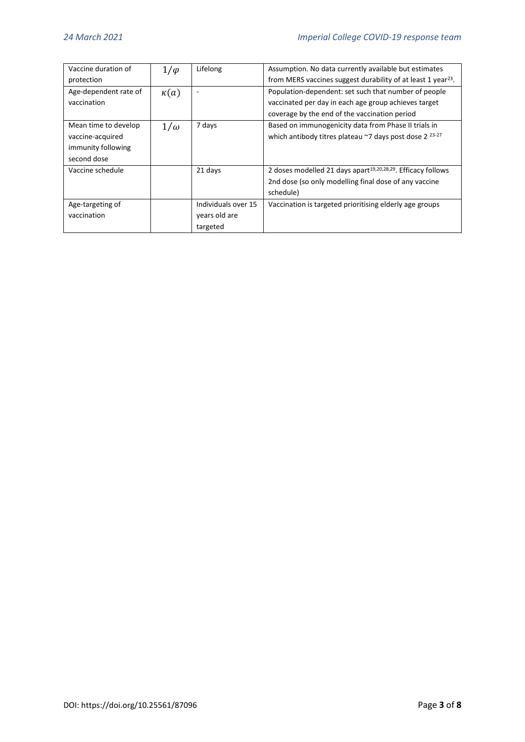| Vaccine duration of   | $1/\varphi$ | Lifelong            | Assumption. No data currently available but estimates                    |
|-----------------------|-------------|---------------------|--------------------------------------------------------------------------|
| protection            |             |                     | from MERS vaccines suggest durability of at least 1 year <sup>23</sup> . |
| Age-dependent rate of | $\kappa(a)$ | ٠                   | Population-dependent: set such that number of people                     |
| vaccination           |             |                     | vaccinated per day in each age group achieves target                     |
|                       |             |                     | coverage by the end of the vaccination period                            |
| Mean time to develop  | $1/\omega$  | 7 days              | Based on immunogenicity data from Phase II trials in                     |
| vaccine-acquired      |             |                     | which antibody titres plateau $\approx$ 7 days post dose 2 $^{23-27}$    |
| immunity following    |             |                     |                                                                          |
| second dose           |             |                     |                                                                          |
| Vaccine schedule      |             | 21 days             | 2 doses modelled 21 days apart <sup>19,20,28,29</sup> . Efficacy follows |
|                       |             |                     | 2nd dose (so only modelling final dose of any vaccine                    |
|                       |             |                     | schedule)                                                                |
| Age-targeting of      |             | Individuals over 15 | Vaccination is targeted prioritising elderly age groups                  |
| vaccination           |             | years old are       |                                                                          |
|                       |             | targeted            |                                                                          |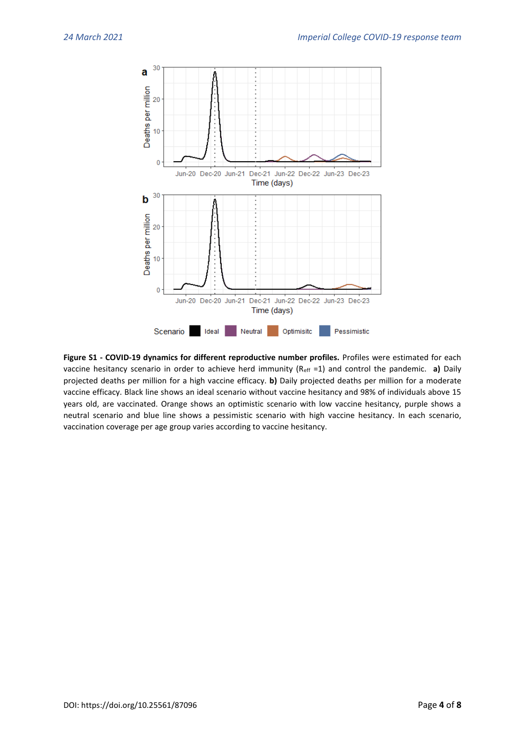

**Figure S1 - COVID-19 dynamics for different reproductive number profiles.** Profiles were estimated for each vaccine hesitancy scenario in order to achieve herd immunity (Reff =1) and control the pandemic. **a)** Daily projected deaths per million for a high vaccine efficacy. **b)** Daily projected deaths per million for a moderate vaccine efficacy. Black line shows an ideal scenario without vaccine hesitancy and 98% of individuals above 15 years old, are vaccinated. Orange shows an optimistic scenario with low vaccine hesitancy, purple shows a neutral scenario and blue line shows a pessimistic scenario with high vaccine hesitancy. In each scenario, vaccination coverage per age group varies according to vaccine hesitancy.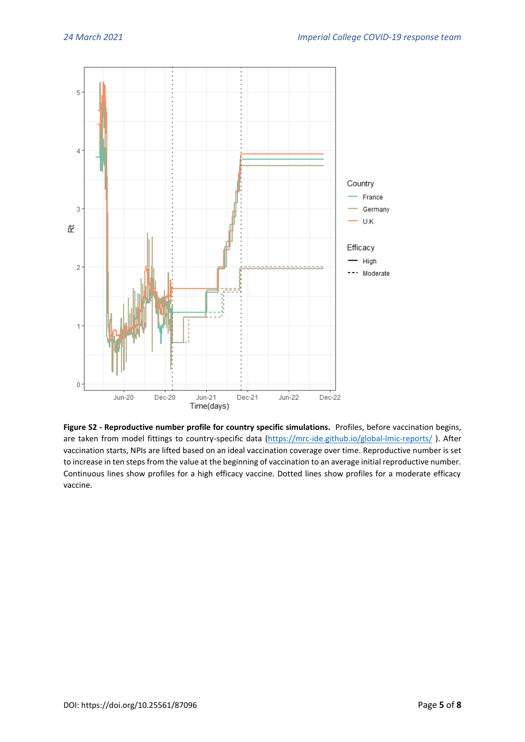

**Figure S2 - Reproductive number profile for country specific simulations.** Profiles, before vaccination begins, are taken from model fittings to country-specific data [\(https://mrc-ide.github.io/global-lmic-reports/](https://mrc-ide.github.io/global-lmic-reports/)). After vaccination starts, NPIs are lifted based on an ideal vaccination coverage over time. Reproductive number is set to increase in ten steps from the value at the beginning of vaccination to an average initial reproductive number. Continuous lines show profiles for a high efficacy vaccine. Dotted lines show profiles for a moderate efficacy vaccine.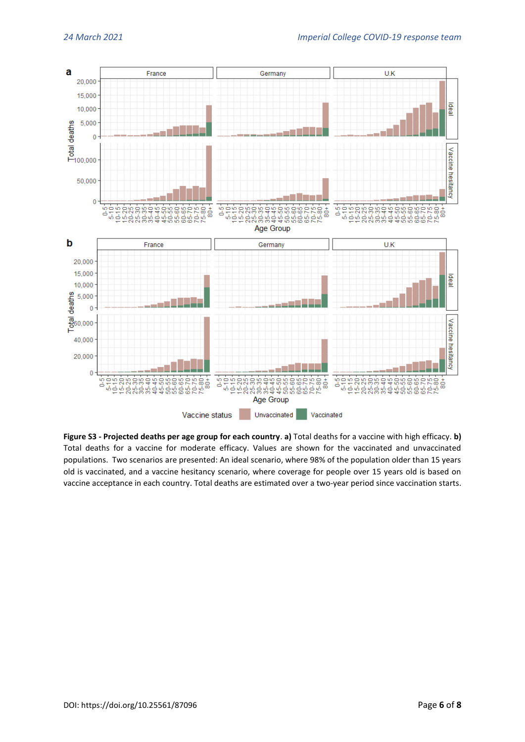

**Figure S3 - Projected deaths per age group for each country**. **a)** Total deaths for a vaccine with high efficacy. **b)** Total deaths for a vaccine for moderate efficacy. Values are shown for the vaccinated and unvaccinated populations. Two scenarios are presented: An ideal scenario, where 98% of the population older than 15 years old is vaccinated, and a vaccine hesitancy scenario, where coverage for people over 15 years old is based on vaccine acceptance in each country. Total deaths are estimated over a two-year period since vaccination starts.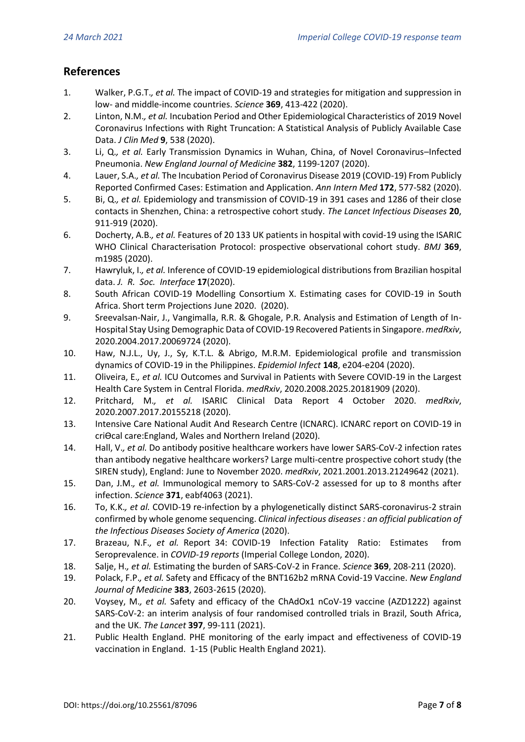## **References**

- 1. Walker, P.G.T.*, et al.* The impact of COVID-19 and strategies for mitigation and suppression in low- and middle-income countries. *Science* **369**, 413-422 (2020).
- 2. Linton, N.M.*, et al.* Incubation Period and Other Epidemiological Characteristics of 2019 Novel Coronavirus Infections with Right Truncation: A Statistical Analysis of Publicly Available Case Data. *J Clin Med* **9**, 538 (2020).
- 3. Li, Q.*, et al.* Early Transmission Dynamics in Wuhan, China, of Novel Coronavirus–Infected Pneumonia. *New England Journal of Medicine* **382**, 1199-1207 (2020).
- 4. Lauer, S.A.*, et al.* The Incubation Period of Coronavirus Disease 2019 (COVID-19) From Publicly Reported Confirmed Cases: Estimation and Application. *Ann Intern Med* **172**, 577-582 (2020).
- 5. Bi, Q.*, et al.* Epidemiology and transmission of COVID-19 in 391 cases and 1286 of their close contacts in Shenzhen, China: a retrospective cohort study. *The Lancet Infectious Diseases* **20**, 911-919 (2020).
- 6. Docherty, A.B.*, et al.* Features of 20 133 UK patients in hospital with covid-19 using the ISARIC WHO Clinical Characterisation Protocol: prospective observational cohort study. *BMJ* **369**, m1985 (2020).
- 7. Hawryluk, I.*, et al.* Inference of COVID-19 epidemiological distributions from Brazilian hospital data. *J. R. Soc. Interface* **17**(2020).
- 8. South African COVID-19 Modelling Consortium X. Estimating cases for COVID-19 in South Africa. Short term Projections June 2020. (2020).
- 9. Sreevalsan-Nair, J., Vangimalla, R.R. & Ghogale, P.R. Analysis and Estimation of Length of In-Hospital Stay Using Demographic Data of COVID-19 Recovered Patients in Singapore. *medRxiv*, 2020.2004.2017.20069724 (2020).
- 10. Haw, N.J.L., Uy, J., Sy, K.T.L. & Abrigo, M.R.M. Epidemiological profile and transmission dynamics of COVID-19 in the Philippines. *Epidemiol Infect* **148**, e204-e204 (2020).
- 11. Oliveira, E.*, et al.* ICU Outcomes and Survival in Patients with Severe COVID-19 in the Largest Health Care System in Central Florida. *medRxiv*, 2020.2008.2025.20181909 (2020).
- 12. Pritchard, M.*, et al.* ISARIC Clinical Data Report 4 October 2020. *medRxiv*, 2020.2007.2017.20155218 (2020).
- 13. Intensive Care National Audit And Research Centre (ICNARC). ICNARC report on COVID-19 in criOcal care: England, Wales and Northern Ireland (2020).
- 14. Hall, V.*, et al.* Do antibody positive healthcare workers have lower SARS-CoV-2 infection rates than antibody negative healthcare workers? Large multi-centre prospective cohort study (the SIREN study), England: June to November 2020. *medRxiv*, 2021.2001.2013.21249642 (2021).
- 15. Dan, J.M.*, et al.* Immunological memory to SARS-CoV-2 assessed for up to 8 months after infection. *Science* **371**, eabf4063 (2021).
- 16. To, K.K.*, et al.* COVID-19 re-infection by a phylogenetically distinct SARS-coronavirus-2 strain confirmed by whole genome sequencing. *Clinical infectious diseases : an official publication of the Infectious Diseases Society of America* (2020).
- 17. Brazeau, N.F.*, et al.* Report 34: COVID-19 Infection Fatality Ratio: Estimates from Seroprevalence. in *COVID-19 reports* (Imperial College London, 2020).
- 18. Salje, H.*, et al.* Estimating the burden of SARS-CoV-2 in France. *Science* **369**, 208-211 (2020).
- 19. Polack, F.P.*, et al.* Safety and Efficacy of the BNT162b2 mRNA Covid-19 Vaccine. *New England Journal of Medicine* **383**, 2603-2615 (2020).
- 20. Voysey, M.*, et al.* Safety and efficacy of the ChAdOx1 nCoV-19 vaccine (AZD1222) against SARS-CoV-2: an interim analysis of four randomised controlled trials in Brazil, South Africa, and the UK. *The Lancet* **397**, 99-111 (2021).
- 21. Public Health England. PHE monitoring of the early impact and effectiveness of COVID-19 vaccination in England. 1-15 (Public Health England 2021).